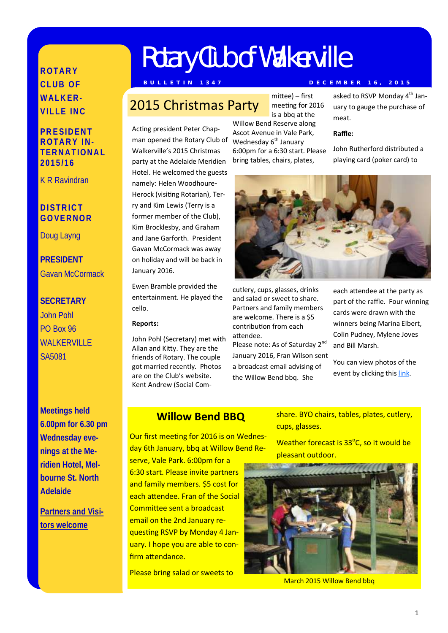# **R O T A R Y C L U B O F WAI K F R-V IL L E IN C**

**PR E SID EN T R O T A R Y IN - T ER N A T IO N A L 2 0 1 5 /1 6**

K R Ravindran

## **D I ST R IC T G O VE R N O R**

Doug Layng

**PRESIDENT** Gavan McCormack

# **SECRETARY** John Pohl PO Box 96 WALKERVILLE SA5081

**Meetings held 6.00pm for 6.30 pm Wednesday evenings at the Meridien Hotel, Melbourne St. North Adelaide**

**Partners and Visitors welcome**

# Rotary Club of Walkerville

## **B U L L E T I N 1 3 4 7 D E C E M B E R 1 6 , 2 0 1 5**

# 2015 Christmas Party

Acting president Peter Chapman opened the Rotary Club of Walkerville's 2015 Christmas party at the Adelaide Meridien Hotel. He welcomed the guests namely: Helen Woodhoure-Herock (visiting Rotarian), Terry and Kim Lewis (Terry is a former member of the Club), Kim Brocklesby, and Graham and Jane Garforth. President Gavan McCormack was away on holiday and will be back in January 2016.

Ewen Bramble provided the entertainment. He played the cello.

### **Reports:**

John Pohl (Secretary) met with Allan and Kitty. They are the friends of Rotary. The couple got married recently. Photos are on the Club's website. Kent Andrew (Social Committee) – first meeting for 2016 is a bbq at the

Willow Bend Reserve along Ascot Avenue in Vale Park, Wednesday  $6<sup>th</sup>$  January 6:00pm for a 6:30 start. Please bring tables, chairs, plates,

asked to RSVP Monday 4<sup>th</sup> January to gauge the purchase of meat.

#### **Raffle:**

John Rutherford distributed a playing card (poker card) to



cutlery, cups, glasses, drinks and salad or sweet to share. Partners and family members are welcome. There is a \$5 contribution from each attendee.

Please note: As of Saturday 2<sup>nd</sup> January 2016, Fran Wilson sent a broadcast email advising of the Willow Bend bbq. She

each attendee at the party as part of the raffle. Four winning cards were drawn with the winners being Marina Elbert, Colin Pudney, Mylene Joves and Bill Marsh.

You can view photos of the event by clicking this [link.](https://goo.gl/photos/nWaWnqrAPGp515th6)

## **Willow Bend BBQ**

Our first meeting for 2016 is on Wednesday 6th January, bbq at Willow Bend Re-

serve, Vale Park. 6:00pm for a 6:30 start. Please invite partners and family members. \$5 cost for each attendee. Fran of the Social Committee sent a broadcast email on the 2nd January requesting RSVP by Monday 4 January. I hope you are able to confirm attendance.

Please bring salad or sweets to

share. BYO chairs, tables, plates, cutlery, cups, glasses.

Weather forecast is 33°C, so it would be pleasant outdoor.



March 2015 Willow Bend bbq